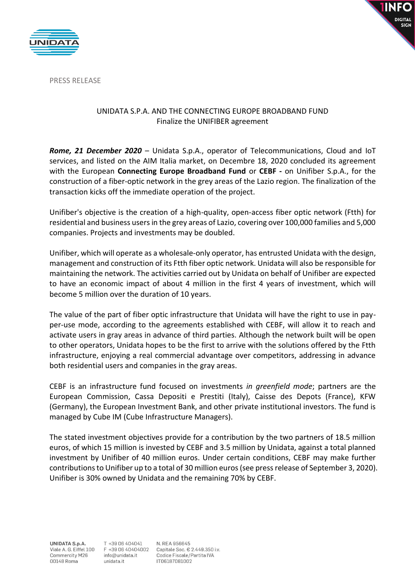



PRESS RELEASE

## UNIDATA S.P.A. AND THE CONNECTING EUROPE BROADBAND FUND Finalize the UNIFIBER agreement

*Rome, 21 December 2020* – Unidata S.p.A., operator of Telecommunications, Cloud and IoT services, and listed on the AIM Italia market, on Decembre 18, 2020 concluded its agreement with the European **Connecting Europe Broadband Fund** or **CEBF -** on Unifiber S.p.A., for the construction of a fiber-optic network in the grey areas of the Lazio region. The finalization of the transaction kicks off the immediate operation of the project.

Unifiber's objective is the creation of a high-quality, open-access fiber optic network (Ftth) for residential and business users in the grey areas of Lazio, covering over 100,000 families and 5,000 companies. Projects and investments may be doubled.

Unifiber, which will operate as a wholesale-only operator, has entrusted Unidata with the design, management and construction of its Ftth fiber optic network. Unidata will also be responsible for maintaining the network. The activities carried out by Unidata on behalf of Unifiber are expected to have an economic impact of about 4 million in the first 4 years of investment, which will become 5 million over the duration of 10 years.

The value of the part of fiber optic infrastructure that Unidata will have the right to use in payper-use mode, according to the agreements established with CEBF, will allow it to reach and activate users in gray areas in advance of third parties. Although the network built will be open to other operators, Unidata hopes to be the first to arrive with the solutions offered by the Ftth infrastructure, enjoying a real commercial advantage over competitors, addressing in advance both residential users and companies in the gray areas.

CEBF is an infrastructure fund focused on investments *in greenfield mode*; partners are the European Commission, Cassa Depositi e Prestiti (Italy), Caisse des Depots (France), KFW (Germany), the European Investment Bank, and other private institutional investors. The fund is managed by Cube IM (Cube Infrastructure Managers).

The stated investment objectives provide for a contribution by the two partners of 18.5 million euros, of which 15 million is invested by CEBF and 3.5 million by Unidata, against a total planned investment by Unifiber of 40 million euros. Under certain conditions, CEBF may make further contributions to Unifiber up to a total of 30 million euros (see press release of September 3, 2020). Unifiber is 30% owned by Unidata and the remaining 70% by CEBF.

**UNIDATA S.p.A.** Viale A. G. Eiffel 100 Commercity M26 00148 Roma

N. REA 956645 Capitale Soc. € 2.449.350 i.v. Codice Fiscale/Partita IVA IT06187081002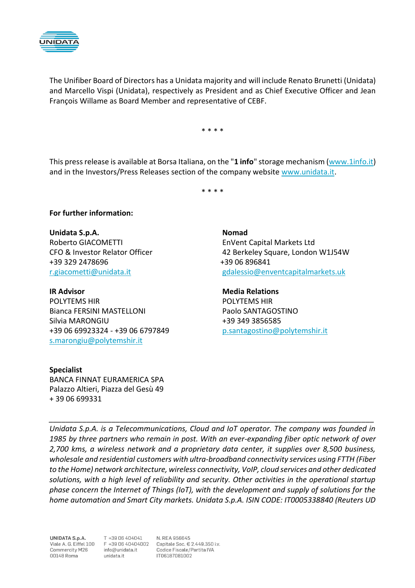

The Unifiber Board of Directors has a Unidata majority and will include Renato Brunetti (Unidata) and Marcello Vispi (Unidata), respectively as President and as Chief Executive Officer and Jean François Willame as Board Member and representative of CEBF.

\* \* \* \*

This press release is available at Borsa Italiana, on the "**1 info**" storage mechanism [\(www.1info.it\)](http://www.1info.it/) and in the Investors/Press Releases section of the company website [www.unidata.it.](http://www.unidata.it/)

\* \* \* \*

## **For further information:**

**Unidata S.p.A. Nomad** Roberto GIACOMETTI EnVent Capital Markets Ltd +39 329 2478696 +39 06 896841

POLYTEMS HIR POLYTEMS HIR Bianca FERSINI MASTELLONI Paolo SANTAGOSTINO Silvia MARONGIU +39 349 3856585 +39 06 69923324 - +39 06 6797849 [p.santagostino@polytemshir.it](mailto:p.santagostino@polytemshir.it) [s.marongiu@polytemshir.it](file:///C:/Users/User/Desktop/s.marongiu@polytemshir.it)

## **Specialist**

BANCA FINNAT EURAMERICA SPA Palazzo Altieri, Piazza del Gesù 49 + 39 06 699331

CFO & Investor Relator Officer 42 Berkeley Square, London W1J54W [r.giacometti@unidata.it](file:///C:/Users/User/Desktop/r.giacometti@unidata.it) [gdalessio@enventcapitalmarkets.uk](mailto:gdalessio@enventcapitalmarkets.uk)

**IR Advisor** Media Relations

*Unidata S.p.A. is a Telecommunications, Cloud and IoT operator. The company was founded in 1985 by three partners who remain in post. With an ever-expanding fiber optic network of over 2,700 kms, a wireless network and a proprietary data center, it supplies over 8,500 business, wholesale and residential customers with ultra-broadband connectivity services using FTTH (Fiber to the Home) network architecture, wireless connectivity, VoIP, cloud services and other dedicated solutions, with a high level of reliability and security. Other activities in the operational startup phase concern the Internet of Things (IoT), with the development and supply of solutions for the home automation and Smart City markets. Unidata S.p.A. ISIN CODE: IT0005338840 (Reuters UD* 

*\_\_\_\_\_\_\_\_\_\_\_\_\_\_\_\_\_\_\_\_\_\_\_\_\_\_\_\_\_\_\_\_\_\_\_\_\_\_\_\_\_\_\_\_\_\_\_\_\_\_\_\_\_\_\_\_\_\_\_\_\_\_\_\_\_\_\_\_\_\_\_\_\_\_\_\_\_\_*

UNIDATA S.p.A. Commercity M26 00148 Roma

T +39 06 404041 info@unidata.it unidata.it

N. REA 956645 Viale A. G. Eiffel 100 F +39 06 40404002 Capitale Soc. € 2.449.350 i.v. Codice Fiscale/Partita IVA IT06187081002